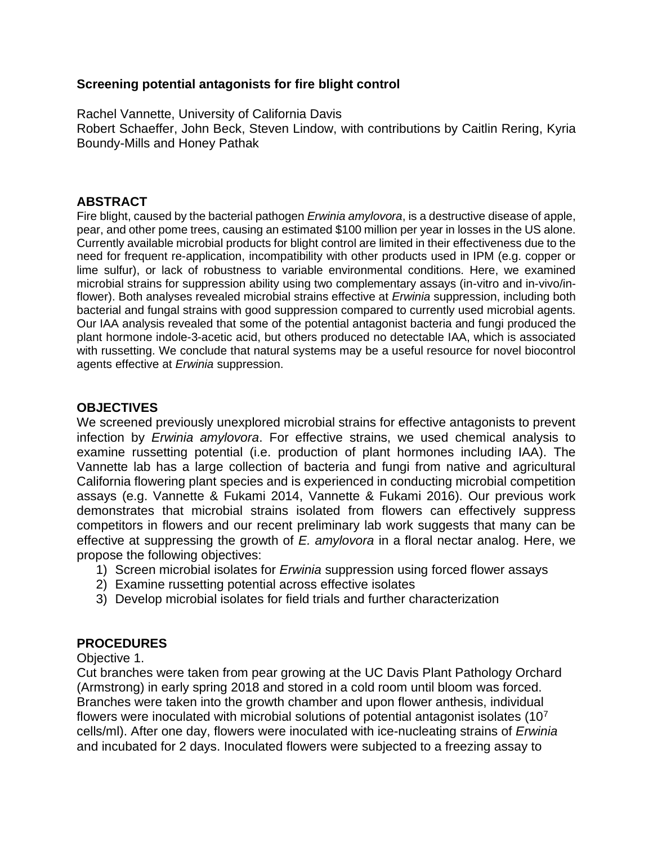## **Screening potential antagonists for fire blight control**

Rachel Vannette, University of California Davis Robert Schaeffer, John Beck, Steven Lindow, with contributions by Caitlin Rering, Kyria Boundy-Mills and Honey Pathak

## **ABSTRACT**

Fire blight, caused by the bacterial pathogen *Erwinia amylovora*, is a destructive disease of apple, pear, and other pome trees, causing an estimated \$100 million per year in losses in the US alone. Currently available microbial products for blight control are limited in their effectiveness due to the need for frequent re-application, incompatibility with other products used in IPM (e.g. copper or lime sulfur), or lack of robustness to variable environmental conditions. Here, we examined microbial strains for suppression ability using two complementary assays (in-vitro and in-vivo/inflower). Both analyses revealed microbial strains effective at *Erwinia* suppression, including both bacterial and fungal strains with good suppression compared to currently used microbial agents. Our IAA analysis revealed that some of the potential antagonist bacteria and fungi produced the plant hormone indole-3-acetic acid, but others produced no detectable IAA, which is associated with russetting. We conclude that natural systems may be a useful resource for novel biocontrol agents effective at *Erwinia* suppression.

## **OBJECTIVES**

We screened previously unexplored microbial strains for effective antagonists to prevent infection by *Erwinia amylovora*. For effective strains, we used chemical analysis to examine russetting potential (i.e. production of plant hormones including IAA). The Vannette lab has a large collection of bacteria and fungi from native and agricultural California flowering plant species and is experienced in conducting microbial competition assays (e.g. Vannette & Fukami 2014, Vannette & Fukami 2016). Our previous work demonstrates that microbial strains isolated from flowers can effectively suppress competitors in flowers and our recent preliminary lab work suggests that many can be effective at suppressing the growth of *E. amylovora* in a floral nectar analog. Here, we propose the following objectives:

- 1) Screen microbial isolates for *Erwinia* suppression using forced flower assays
- 2) Examine russetting potential across effective isolates
- 3) Develop microbial isolates for field trials and further characterization

## **PROCEDURES**

Objective 1.

Cut branches were taken from pear growing at the UC Davis Plant Pathology Orchard (Armstrong) in early spring 2018 and stored in a cold room until bloom was forced. Branches were taken into the growth chamber and upon flower anthesis, individual flowers were inoculated with microbial solutions of potential antagonist isolates  $(10<sup>7</sup>)$ cells/ml). After one day, flowers were inoculated with ice-nucleating strains of *Erwinia* and incubated for 2 days. Inoculated flowers were subjected to a freezing assay to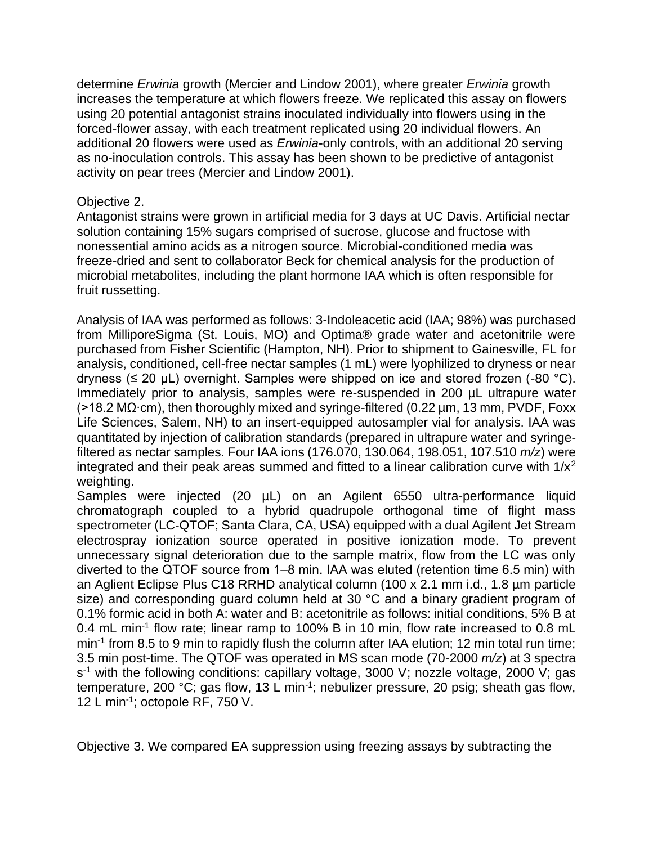determine *Erwinia* growth (Mercier and Lindow 2001), where greater *Erwinia* growth increases the temperature at which flowers freeze. We replicated this assay on flowers using 20 potential antagonist strains inoculated individually into flowers using in the forced-flower assay, with each treatment replicated using 20 individual flowers. An additional 20 flowers were used as *Erwinia*-only controls, with an additional 20 serving as no-inoculation controls. This assay has been shown to be predictive of antagonist activity on pear trees (Mercier and Lindow 2001).

#### Objective 2.

Antagonist strains were grown in artificial media for 3 days at UC Davis. Artificial nectar solution containing 15% sugars comprised of sucrose, glucose and fructose with nonessential amino acids as a nitrogen source. Microbial-conditioned media was freeze-dried and sent to collaborator Beck for chemical analysis for the production of microbial metabolites, including the plant hormone IAA which is often responsible for fruit russetting.

Analysis of IAA was performed as follows: 3-Indoleacetic acid (IAA; 98%) was purchased from MilliporeSigma (St. Louis, MO) and Optima® grade water and acetonitrile were purchased from Fisher Scientific (Hampton, NH). Prior to shipment to Gainesville, FL for analysis, conditioned, cell-free nectar samples (1 mL) were lyophilized to dryness or near dryness ( $\leq$  20 µL) overnight. Samples were shipped on ice and stored frozen (-80 °C). Immediately prior to analysis, samples were re-suspended in 200 µL ultrapure water (>18.2 MΩ∙cm), then thoroughly mixed and syringe-filtered (0.22 µm, 13 mm, PVDF, Foxx Life Sciences, Salem, NH) to an insert-equipped autosampler vial for analysis. IAA was quantitated by injection of calibration standards (prepared in ultrapure water and syringefiltered as nectar samples. Four IAA ions (176.070, 130.064, 198.051, 107.510 *m/z*) were integrated and their peak areas summed and fitted to a linear calibration curve with  $1/x^2$ weighting.

Samples were injected (20 µL) on an Agilent 6550 ultra-performance liquid chromatograph coupled to a hybrid quadrupole orthogonal time of flight mass spectrometer (LC-QTOF; Santa Clara, CA, USA) equipped with a dual Agilent Jet Stream electrospray ionization source operated in positive ionization mode. To prevent unnecessary signal deterioration due to the sample matrix, flow from the LC was only diverted to the QTOF source from 1–8 min. IAA was eluted (retention time 6.5 min) with an Aglient Eclipse Plus C18 RRHD analytical column (100 x 2.1 mm i.d., 1.8 µm particle size) and corresponding guard column held at 30 °C and a binary gradient program of 0.1% formic acid in both A: water and B: acetonitrile as follows: initial conditions, 5% B at 0.4 mL min<sup>-1</sup> flow rate; linear ramp to 100% B in 10 min, flow rate increased to 0.8 mL min<sup>-1</sup> from 8.5 to 9 min to rapidly flush the column after IAA elution; 12 min total run time; 3.5 min post-time. The QTOF was operated in MS scan mode (70-2000 *m/z*) at 3 spectra s<sup>-1</sup> with the following conditions: capillary voltage, 3000 V; nozzle voltage, 2000 V; gas temperature, 200 °C; gas flow, 13 L min<sup>-1</sup>; nebulizer pressure, 20 psig; sheath gas flow, 12 L min-1 ; octopole RF, 750 V.

Objective 3. We compared EA suppression using freezing assays by subtracting the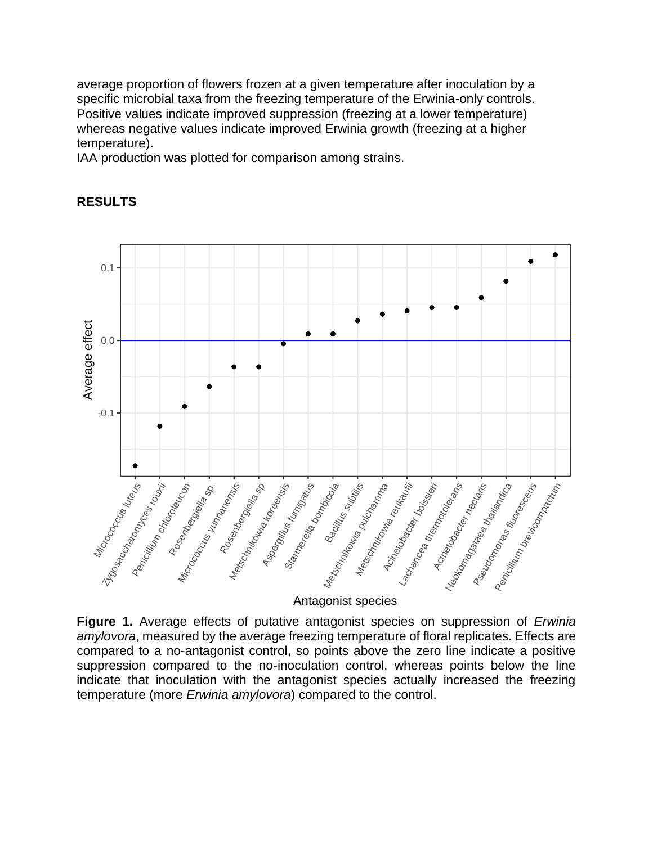average proportion of flowers frozen at a given temperature after inoculation by a specific microbial taxa from the freezing temperature of the Erwinia-only controls. Positive values indicate improved suppression (freezing at a lower temperature) whereas negative values indicate improved Erwinia growth (freezing at a higher temperature).

IAA production was plotted for comparison among strains.



# **RESULTS**

Antagonist species

**Figure 1.** Average effects of putative antagonist species on suppression of *Erwinia amylovora*, measured by the average freezing temperature of floral replicates. Effects are compared to a no-antagonist control, so points above the zero line indicate a positive suppression compared to the no-inoculation control, whereas points below the line indicate that inoculation with the antagonist species actually increased the freezing temperature (more *Erwinia amylovora*) compared to the control.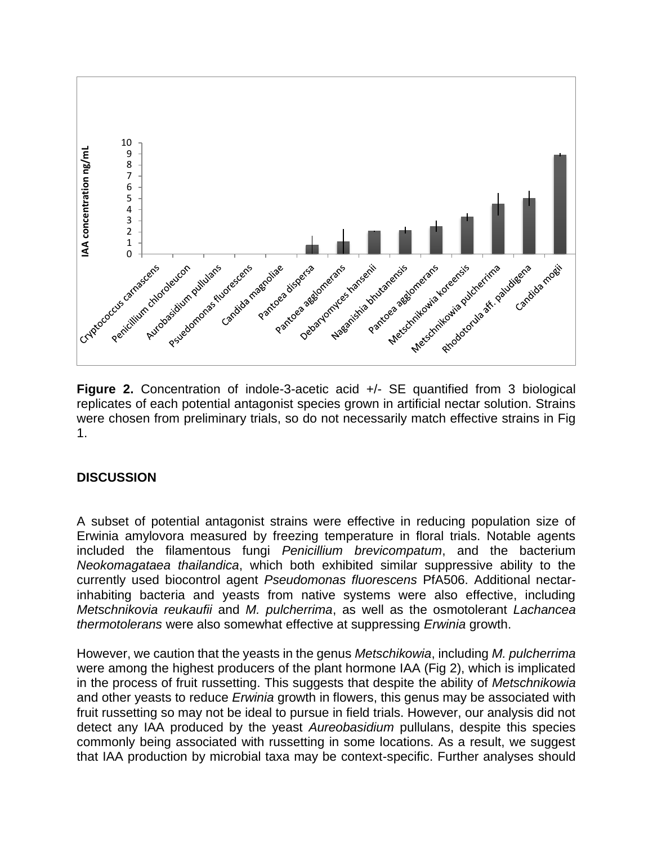

**Figure 2.** Concentration of indole-3-acetic acid +/- SE quantified from 3 biological replicates of each potential antagonist species grown in artificial nectar solution. Strains were chosen from preliminary trials, so do not necessarily match effective strains in Fig 1.

## **DISCUSSION**

A subset of potential antagonist strains were effective in reducing population size of Erwinia amylovora measured by freezing temperature in floral trials. Notable agents included the filamentous fungi *Penicillium brevicompatum*, and the bacterium *Neokomagataea thailandica*, which both exhibited similar suppressive ability to the currently used biocontrol agent *Pseudomonas fluorescens* PfA506. Additional nectarinhabiting bacteria and yeasts from native systems were also effective, including *Metschnikovia reukaufii* and *M. pulcherrima*, as well as the osmotolerant *Lachancea thermotolerans* were also somewhat effective at suppressing *Erwinia* growth.

However, we caution that the yeasts in the genus *Metschikowia*, including *M. pulcherrima* were among the highest producers of the plant hormone IAA (Fig 2), which is implicated in the process of fruit russetting. This suggests that despite the ability of *Metschnikowia* and other yeasts to reduce *Erwinia* growth in flowers, this genus may be associated with fruit russetting so may not be ideal to pursue in field trials. However, our analysis did not detect any IAA produced by the yeast *Aureobasidium* pullulans, despite this species commonly being associated with russetting in some locations. As a result, we suggest that IAA production by microbial taxa may be context-specific. Further analyses should